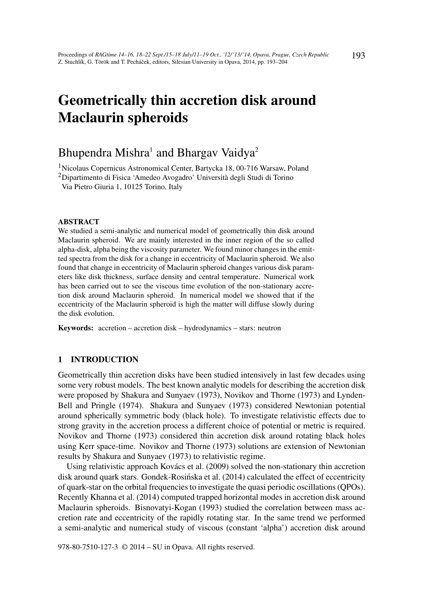# Geometrically thin accretion disk around Maclaurin spheroids

# Bhupendra Mishra $^1$  and Bhargav Vaidya $^2$

<sup>1</sup>Nicolaus Copernicus Astronomical Center, Bartycka 18, 00-716 Warsaw, Poland

<sup>2</sup>Dipartimento di Fisica 'Amedeo Avogadro' Università degli Studi di Torino

Via Pietro Giuria 1, 10125 Torino, Italy

#### ABSTRACT

We studied a semi-analytic and numerical model of geometrically thin disk around Maclaurin spheroid. We are mainly interested in the inner region of the so called alpha-disk, alpha being the viscosity parameter. We found minor changes in the emitted spectra from the disk for a change in eccentricity of Maclaurin spheroid. We also found that change in eccentricity of Maclaurin spheroid changes various disk parameters like disk thickness, surface density and central temperature. Numerical work has been carried out to see the viscous time evolution of the non-stationary accretion disk around Maclaurin spheroid. In numerical model we showed that if the eccentricity of the Maclaurin spheroid is high the matter will diffuse slowly during the disk evolution.

Keywords: accretion – accretion disk – hydrodynamics – stars: neutron

## 1 INTRODUCTION

Geometrically thin accretion disks have been studied intensively in last few decades using some very robust models. The best known analytic models for describing the accretion disk were proposed by Shakura and Sunyaev (1973), Novikov and Thorne (1973) and Lynden-Bell and Pringle (1974). Shakura and Sunyaev (1973) considered Newtonian potential around spherically symmetric body (black hole). To investigate relativistic effects due to strong gravity in the accretion process a different choice of potential or metric is required. Novikov and Thorne (1973) considered thin accretion disk around rotating black holes using Kerr space-time. Novikov and Thorne (1973) solutions are extension of Newtonian results by Shakura and Sunyaev (1973) to relativistic regime.

Using relativistic approach Kovács et al. (2009) solved the non-stationary thin accretion disk around quark stars. Gondek-Rosińska et al. (2014) calculated the effect of eccentricity of quark-star on the orbital frequencies to investigate the quasi periodic oscillations (QPOs). Recently Khanna et al. (2014) computed trapped horizontal modes in accretion disk around Maclaurin spheroids. Bisnovatyi-Kogan (1993) studied the correlation between mass accretion rate and eccentricity of the rapidly rotating star. In the same trend we performed a semi-analytic and numerical study of viscous (constant 'alpha') accretion disk around

978-80-7510-127-3 © 2014 – SU in Opava. All rights reserved.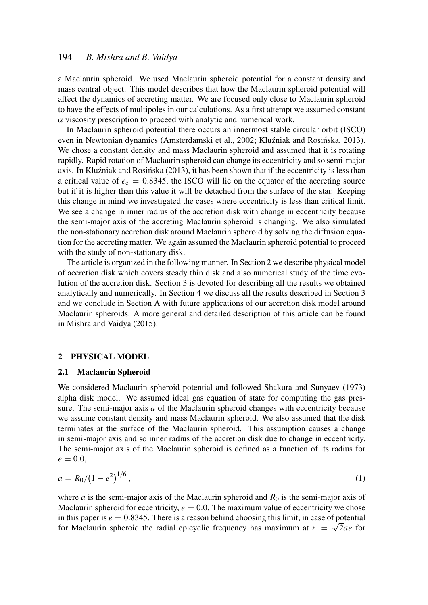## 194 *B. Mishra and B. Vaidya*

a Maclaurin spheroid. We used Maclaurin spheroid potential for a constant density and mass central object. This model describes that how the Maclaurin spheroid potential will affect the dynamics of accreting matter. We are focused only close to Maclaurin spheroid to have the effects of multipoles in our calculations. As a first attempt we assumed constant  $\alpha$  viscosity prescription to proceed with analytic and numerical work.

In Maclaurin spheroid potential there occurs an innermost stable circular orbit (ISCO) even in Newtonian dynamics (Amsterdamski et al., 2002; Kluźniak and Rosińska, 2013). We chose a constant density and mass Maclaurin spheroid and assumed that it is rotating rapidly. Rapid rotation of Maclaurin spheroid can change its eccentricity and so semi-major axis. In Kluźniak and Rosińska (2013), it has been shown that if the eccentricity is less than a critical value of  $e_c = 0.8345$ , the ISCO will lie on the equator of the accreting source but if it is higher than this value it will be detached from the surface of the star. Keeping this change in mind we investigated the cases where eccentricity is less than critical limit. We see a change in inner radius of the accretion disk with change in eccentricity because the semi-major axis of the accreting Maclaurin spheroid is changing. We also simulated the non-stationary accretion disk around Maclaurin spheroid by solving the diffusion equation for the accreting matter. We again assumed the Maclaurin spheroid potential to proceed with the study of non-stationary disk.

The article is organized in the following manner. In Section 2 we describe physical model of accretion disk which covers steady thin disk and also numerical study of the time evolution of the accretion disk. Section 3 is devoted for describing all the results we obtained analytically and numerically. In Section 4 we discuss all the results described in Section 3 and we conclude in Section A with future applications of our accretion disk model around Maclaurin spheroids. A more general and detailed description of this article can be found in Mishra and Vaidya (2015).

#### 2 PHYSICAL MODEL

#### 2.1 Maclaurin Spheroid

We considered Maclaurin spheroid potential and followed Shakura and Sunyaev (1973) alpha disk model. We assumed ideal gas equation of state for computing the gas pressure. The semi-major axis *a* of the Maclaurin spheroid changes with eccentricity because we assume constant density and mass Maclaurin spheroid. We also assumed that the disk terminates at the surface of the Maclaurin spheroid. This assumption causes a change in semi-major axis and so inner radius of the accretion disk due to change in eccentricity. The semi-major axis of the Maclaurin spheroid is defined as a function of its radius for  $e = 0.0$ 

$$
a = R_0 / (1 - e^2)^{1/6},\tag{1}
$$

where *a* is the semi-major axis of the Maclaurin spheroid and  $R_0$  is the semi-major axis of Maclaurin spheroid for eccentricity,  $e = 0.0$ . The maximum value of eccentricity we chose in this paper is  $e = 0.8345$ . There is a reason behind choosing this limit, in case of potential for Maclaurin spheroid the radial epicyclic frequency has maximum at  $r = \sqrt{2}ae$  for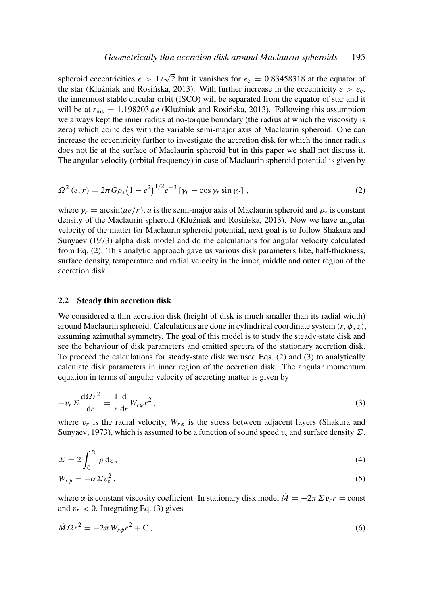spheroid eccentricities *e* > 1/ √  $\overline{2}$  but it vanishes for  $e_c = 0.83458318$  at the equator of the star (Kluźniak and Rosinska, 2013). With further increase in the eccentricity  $e > e_c$ , the innermost stable circular orbit (ISCO) will be separated from the equator of star and it will be at  $r_{\text{ms}} = 1.198203$  *ae* (Kluźniak and Rosińska, 2013). Following this assumption we always kept the inner radius at no-torque boundary (the radius at which the viscosity is zero) which coincides with the variable semi-major axis of Maclaurin spheroid. One can increase the eccentricity further to investigate the accretion disk for which the inner radius does not lie at the surface of Maclaurin spheroid but in this paper we shall not discuss it. The angular velocity (orbital frequency) in case of Maclaurin spheroid potential is given by

$$
\Omega^{2}(e,r) = 2\pi G\rho_{*}(1-e^{2})^{1/2}e^{-3}\left[\gamma_{r} - \cos\gamma_{r}\sin\gamma_{r}\right],
$$
\n(2)

where  $\gamma_r = \arcsin(ae/r)$ , *a* is the semi-major axis of Maclaurin spheroid and  $\rho_*$  is constant density of the Maclaurin spheroid (Kluźniak and Rosińska, 2013). Now we have angular velocity of the matter for Maclaurin spheroid potential, next goal is to follow Shakura and Sunyaev (1973) alpha disk model and do the calculations for angular velocity calculated from Eq. (2). This analytic approach gave us various disk parameters like, half-thickness, surface density, temperature and radial velocity in the inner, middle and outer region of the accretion disk.

#### 2.2 Steady thin accretion disk

We considered a thin accretion disk (height of disk is much smaller than its radial width) around Maclaurin spheroid. Calculations are done in cylindrical coordinate system  $(r, \phi, z)$ , assuming azimuthal symmetry. The goal of this model is to study the steady-state disk and see the behaviour of disk parameters and emitted spectra of the stationary accretion disk. To proceed the calculations for steady-state disk we used Eqs. (2) and (3) to analytically calculate disk parameters in inner region of the accretion disk. The angular momentum equation in terms of angular velocity of accreting matter is given by

$$
-v_r \Sigma \frac{\mathrm{d}\Omega r^2}{\mathrm{d}r} = -\frac{1}{r} \frac{\mathrm{d}}{\mathrm{d}r} W_{r\phi} r^2, \qquad (3)
$$

where  $v_r$  is the radial velocity,  $W_{r\phi}$  is the stress between adjacent layers (Shakura and Sunyaev, 1973), which is assumed to be a function of sound speed  $v_s$  and surface density  $\Sigma$ .

$$
\Sigma = 2 \int_0^{z_0} \rho \, dz \,, \tag{4}
$$

$$
W_{r\phi} = -\alpha \Sigma v_{\rm s}^2 \,, \tag{5}
$$

where  $\alpha$  is constant viscosity coefficient. In stationary disk model  $\dot{M} = -2\pi \Sigma v_r r = \text{const}$ and  $v_r < 0$ . Integrating Eq. (3) gives

$$
\dot{M}\Omega r^2 = -2\pi W_{r\phi}r^2 + C\,,\tag{6}
$$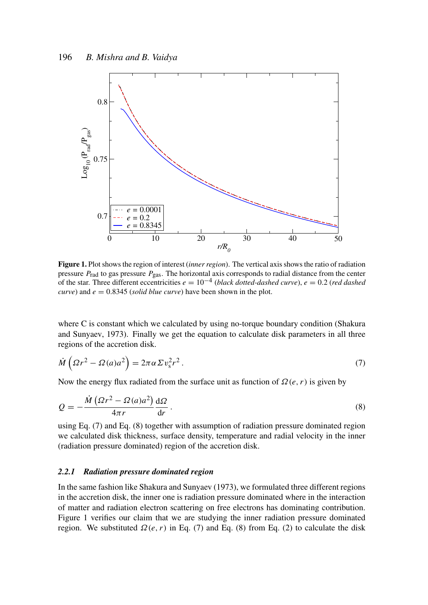

Figure 1. Plot shows the region of interest (*inner region*). The vertical axis shows the ratio of radiation pressure *P*rad to gas pressure *P*gas. The horizontal axis corresponds to radial distance from the center of the star. Three different eccentricities  $e = 10^{-4}$  (*black dotted-dashed curve*),  $e = 0.2$  (*red dashed curve*) and  $e = 0.8345$  *(solid blue curve)* have been shown in the plot.

where C is constant which we calculated by using no-torque boundary condition (Shakura) and Sunyaev, 1973). Finally we get the equation to calculate disk parameters in all three regions of the accretion disk.

$$
\dot{M} \left( \Omega r^2 - \Omega(a) a^2 \right) = 2\pi \alpha \Sigma v_s^2 r^2 \,. \tag{7}
$$

Now the energy flux radiated from the surface unit as function of  $\Omega(e, r)$  is given by

$$
Q = -\frac{\dot{M} \left(\Omega r^2 - \Omega(a)a^2\right) d\Omega}{4\pi r}.
$$
\n(8)

using Eq. (7) and Eq. (8) together with assumption of radiation pressure dominated region we calculated disk thickness, surface density, temperature and radial velocity in the inner (radiation pressure dominated) region of the accretion disk.

#### *2.2.1 Radiation pressure dominated region*

In the same fashion like Shakura and Sunyaev (1973), we formulated three different regions in the accretion disk, the inner one is radiation pressure dominated where in the interaction of matter and radiation electron scattering on free electrons has dominating contribution. Figure 1 verifies our claim that we are studying the inner radiation pressure dominated region. We substituted  $\Omega(e, r)$  in Eq. (7) and Eq. (8) from Eq. (2) to calculate the disk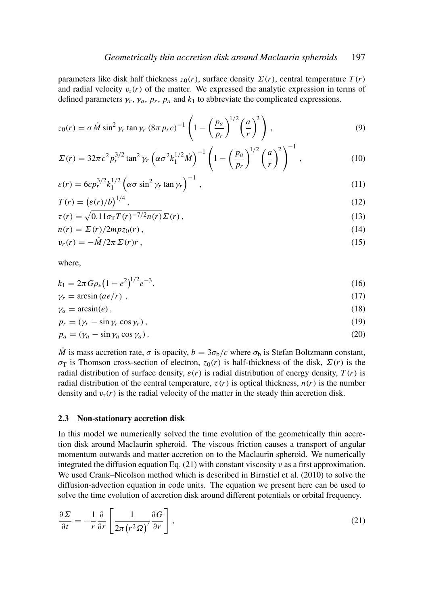parameters like disk half thickness  $z_0(r)$ , surface density  $\Sigma(r)$ , central temperature  $T(r)$ and radial velocity  $v_r(r)$  of the matter. We expressed the analytic expression in terms of defined parameters  $\gamma_r$ ,  $\gamma_a$ ,  $p_r$ ,  $p_a$  and  $k_1$  to abbreviate the complicated expressions.

$$
z_0(r) = \sigma \dot{M} \sin^2 \gamma_r \tan \gamma_r (8\pi p_r c)^{-1} \left( 1 - \left( \frac{p_a}{p_r} \right)^{1/2} \left( \frac{a}{r} \right)^2 \right),
$$
 (9)

$$
\Sigma(r) = 32\pi c^2 p_r^{3/2} \tan^2 \gamma_r \left( \alpha \sigma^2 k_1^{1/2} \dot{M} \right)^{-1} \left( 1 - \left( \frac{p_a}{p_r} \right)^{1/2} \left( \frac{a}{r} \right)^2 \right)^{-1}, \tag{10}
$$

$$
\varepsilon(r) = 6cp_r^{3/2}k_1^{1/2} \left(\alpha\sigma\sin^2\gamma_r\tan\gamma_r\right)^{-1},\tag{11}
$$

$$
T(r) = \left(\frac{\varepsilon(r)}{b}\right)^{1/4},\tag{12}
$$

$$
\tau(r) = \sqrt{0.11\sigma_{\rm T}T(r)^{-7/2}n(r)}\Sigma(r),\qquad(13)
$$

$$
n(r) = \Sigma(r)/2mpz_0(r),\tag{14}
$$

$$
v_r(r) = -\dot{M}/2\pi \Sigma(r)r\,,\tag{15}
$$

where,

$$
k_1 = 2\pi G \rho_* \left(1 - e^2\right)^{1/2} e^{-3},\tag{16}
$$

$$
\gamma_r = \arcsin(ae/r) \tag{17}
$$

$$
\gamma_a = \arcsin(e),\tag{18}
$$

$$
p_r = (\gamma_r - \sin \gamma_r \cos \gamma_r), \tag{19}
$$

$$
p_a = (\gamma_a - \sin \gamma_a \cos \gamma_a). \tag{20}
$$

 $\dot{M}$  is mass accretion rate,  $\sigma$  is opacity,  $b = 3\sigma_b/c$  where  $\sigma_b$  is Stefan Boltzmann constant, σ<sub>T</sub> is Thomson cross-section of electron,  $z_0(r)$  is half-thickness of the disk,  $Σ(r)$  is the radial distribution of surface density,  $\varepsilon(r)$  is radial distribution of energy density,  $T(r)$  is radial distribution of the central temperature,  $\tau(r)$  is optical thickness,  $n(r)$  is the number density and  $v_r(r)$  is the radial velocity of the matter in the steady thin accretion disk.

#### 2.3 Non-stationary accretion disk

In this model we numerically solved the time evolution of the geometrically thin accretion disk around Maclaurin spheroid. The viscous friction causes a transport of angular momentum outwards and matter accretion on to the Maclaurin spheroid. We numerically integrated the diffusion equation Eq. (21) with constant viscosity  $\nu$  as a first approximation. We used Crank–Nicolson method which is described in Birnstiel et al. (2010) to solve the diffusion-advection equation in code units. The equation we present here can be used to solve the time evolution of accretion disk around different potentials or orbital frequency.

$$
\frac{\partial \Sigma}{\partial t} = -\frac{1}{r} \frac{\partial}{\partial r} \left[ \frac{1}{2\pi (r^2 \Omega)} \frac{\partial G}{\partial r} \right],\tag{21}
$$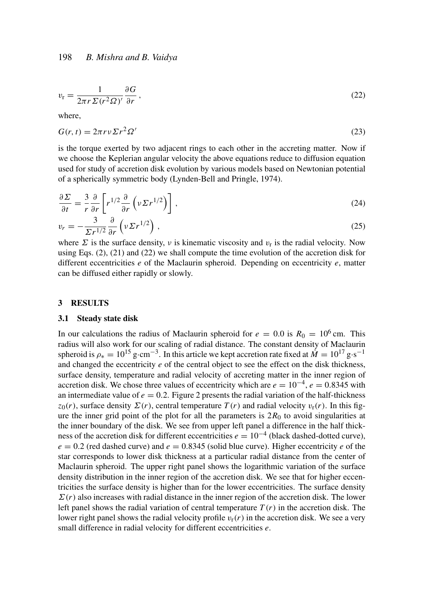$$
v_{\rm r} = \frac{1}{2\pi r \Sigma (r^2 \Omega)'} \frac{\partial G}{\partial r},\tag{22}
$$

where,

$$
G(r,t) = 2\pi r v \Sigma r^2 \Omega'
$$
\n(23)

is the torque exerted by two adjacent rings to each other in the accreting matter. Now if we choose the Keplerian angular velocity the above equations reduce to diffusion equation used for study of accretion disk evolution by various models based on Newtonian potential of a spherically symmetric body (Lynden-Bell and Pringle, 1974).

$$
\frac{\partial \Sigma}{\partial t} = \frac{3}{r} \frac{\partial}{\partial r} \left[ r^{1/2} \frac{\partial}{\partial r} \left( \nu \Sigma r^{1/2} \right) \right],\tag{24}
$$

$$
v_r = -\frac{3}{\Sigma r^{1/2}} \frac{\partial}{\partial r} \left( \nu \Sigma r^{1/2} \right),\tag{25}
$$

where  $\Sigma$  is the surface density, v is kinematic viscosity and  $v_r$  is the radial velocity. Now using Eqs.  $(2)$ ,  $(21)$  and  $(22)$  we shall compute the time evolution of the accretion disk for different eccentricities *e* of the Maclaurin spheroid. Depending on eccentricity *e*, matter can be diffused either rapidly or slowly.

#### 3 RESULTS

#### 3.1 Steady state disk

In our calculations the radius of Maclaurin spheroid for  $e = 0.0$  is  $R_0 = 10^6$  cm. This radius will also work for our scaling of radial distance. The constant density of Maclaurin spheroid is  $\rho_* = 10^{15}$  g·cm<sup>-3</sup>. In this article we kept accretion rate fixed at  $\dot{M} = 10^{17}$  g·s<sup>-1</sup> and changed the eccentricity *e* of the central object to see the effect on the disk thickness, surface density, temperature and radial velocity of accreting matter in the inner region of accretion disk. We chose three values of eccentricity which are  $e = 10^{-4}$ ,  $e = 0.8345$  with an intermediate value of  $e = 0.2$ . Figure 2 presents the radial variation of the half-thickness  $z_0(r)$ , surface density  $\Sigma(r)$ , central temperature  $T(r)$  and radial velocity  $v_r(r)$ . In this figure the inner grid point of the plot for all the parameters is  $2R_0$  to avoid singularities at the inner boundary of the disk. We see from upper left panel a difference in the half thickness of the accretion disk for different eccentricities  $e = 10^{-4}$  (black dashed-dotted curve),  $e = 0.2$  (red dashed curve) and  $e = 0.8345$  (solid blue curve). Higher eccentricity *e* of the star corresponds to lower disk thickness at a particular radial distance from the center of Maclaurin spheroid. The upper right panel shows the logarithmic variation of the surface density distribution in the inner region of the accretion disk. We see that for higher eccentricities the surface density is higher than for the lower eccentricities. The surface density  $\Sigma(r)$  also increases with radial distance in the inner region of the accretion disk. The lower left panel shows the radial variation of central temperature  $T(r)$  in the accretion disk. The lower right panel shows the radial velocity profile  $v_r(r)$  in the accretion disk. We see a very small difference in radial velocity for different eccentricities *e*.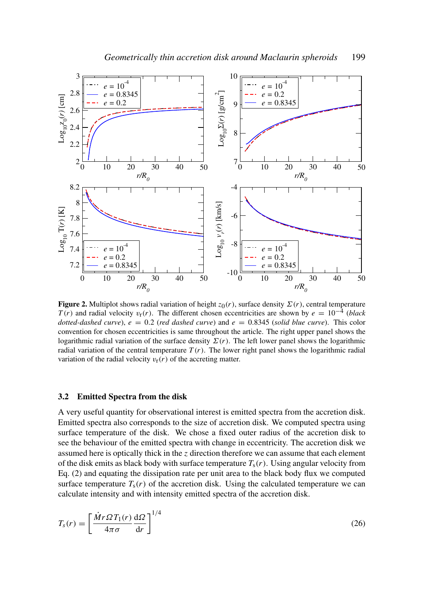

**Figure 2.** Multiplot shows radial variation of height  $z_0(r)$ , surface density  $\sum(r)$ , central temperature  $T(r)$  and radial velocity  $v_r(r)$ . The different chosen eccentricities are shown by  $e = 10^{-4}$  (*black dotted-dashed curve*),  $e = 0.2$  (*red dashed curve*) and  $e = 0.8345$  (*solid blue curve*). This color convention for chosen eccentricities is same throughout the article. The right upper panel shows the logarithmic radial variation of the surface density  $\Sigma(r)$ . The left lower panel shows the logarithmic radial variation of the central temperature  $T(r)$ . The lower right panel shows the logarithmic radial variation of the radial velocity  $v_r(r)$  of the accreting matter.

#### 3.2 Emitted Spectra from the disk

A very useful quantity for observational interest is emitted spectra from the accretion disk. Emitted spectra also corresponds to the size of accretion disk. We computed spectra using surface temperature of the disk. We chose a fixed outer radius of the accretion disk to see the behaviour of the emitted spectra with change in eccentricity. The accretion disk we assumed here is optically thick in the *z* direction therefore we can assume that each element of the disk emits as black body with surface temperature  $T_s(r)$ . Using angular velocity from Eq. (2) and equating the dissipation rate per unit area to the black body flux we computed surface temperature  $T_s(r)$  of the accretion disk. Using the calculated temperature we can calculate intensity and with intensity emitted spectra of the accretion disk.

$$
T_s(r) = \left[\frac{\dot{M}r\Omega T_1(r)}{4\pi\sigma} \frac{d\Omega}{dr}\right]^{1/4} \tag{26}
$$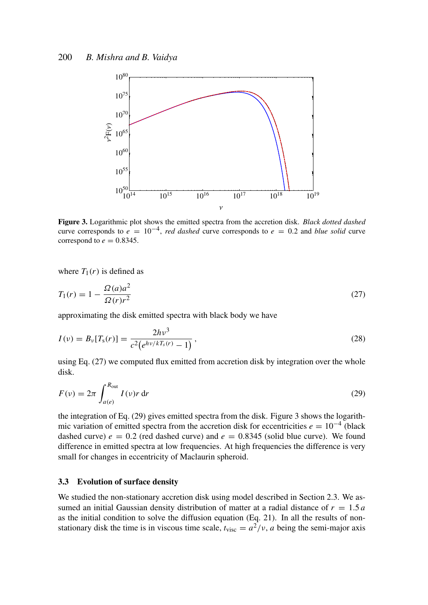

Figure 3. Logarithmic plot shows the emitted spectra from the accretion disk. *Black dotted dashed* curve corresponds to  $e = 10^{-4}$ , *red dashed* curve corresponds to  $e = 0.2$  and *blue solid* curve correspond to  $e = 0.8345$ .

where  $T_1(r)$  is defined as

$$
T_1(r) = 1 - \frac{\Omega(a)a^2}{\Omega(r)r^2}
$$
\n(27)

approximating the disk emitted spectra with black body we have

$$
I(\nu) = B_{\nu}[T_{\rm s}(r)] = \frac{2h\nu^3}{c^2(e^{h\nu/kT_{\rm s}(r)} - 1)},
$$
\n(28)

using Eq. (27) we computed flux emitted from accretion disk by integration over the whole disk.

$$
F(v) = 2\pi \int_{a(e)}^{R_{\text{out}}} I(v)r \, \text{d}r \tag{29}
$$

the integration of Eq. (29) gives emitted spectra from the disk. Figure 3 shows the logarithmic variation of emitted spectra from the accretion disk for eccentricities  $e = 10^{-4}$  (black dashed curve)  $e = 0.2$  (red dashed curve) and  $e = 0.8345$  (solid blue curve). We found difference in emitted spectra at low frequencies. At high frequencies the difference is very small for changes in eccentricity of Maclaurin spheroid.

#### 3.3 Evolution of surface density

We studied the non-stationary accretion disk using model described in Section 2.3. We assumed an initial Gaussian density distribution of matter at a radial distance of  $r = 1.5 a$ as the initial condition to solve the diffusion equation (Eq. 21). In all the results of nonstationary disk the time is in viscous time scale,  $t_{\text{visc}} = a^2/v$ , *a* being the semi-major axis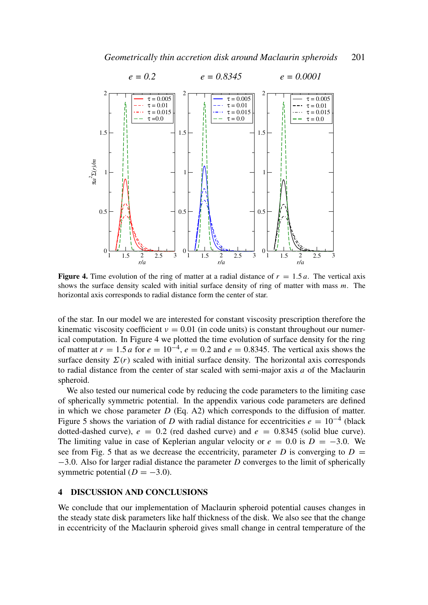

**Figure 4.** Time evolution of the ring of matter at a radial distance of  $r = 1.5a$ . The vertical axis shows the surface density scaled with initial surface density of ring of matter with mass *m*. The horizontal axis corresponds to radial distance form the center of star.

of the star. In our model we are interested for constant viscosity prescription therefore the kinematic viscosity coefficient  $v = 0.01$  (in code units) is constant throughout our numerical computation. In Figure 4 we plotted the time evolution of surface density for the ring of matter at  $r = 1.5 a$  for  $e = 10^{-4}$ ,  $e = 0.2$  and  $e = 0.8345$ . The vertical axis shows the surface density  $\Sigma(r)$  scaled with initial surface density. The horizontal axis corresponds to radial distance from the center of star scaled with semi-major axis *a* of the Maclaurin spheroid.

We also tested our numerical code by reducing the code parameters to the limiting case of spherically symmetric potential. In the appendix various code parameters are defined in which we chose parameter *D* (Eq. A2) which corresponds to the diffusion of matter. Figure 5 shows the variation of *D* with radial distance for eccentricities  $e = 10^{-4}$  (black dotted-dashed curve),  $e = 0.2$  (red dashed curve) and  $e = 0.8345$  (solid blue curve). The limiting value in case of Keplerian angular velocity or  $e = 0.0$  is  $D = -3.0$ . We see from Fig. 5 that as we decrease the eccentricity, parameter *D* is converging to  $D =$ −3.0. Also for larger radial distance the parameter *D* converges to the limit of spherically symmetric potential  $(D = -3.0)$ .

#### 4 DISCUSSION AND CONCLUSIONS

We conclude that our implementation of Maclaurin spheroid potential causes changes in the steady state disk parameters like half thickness of the disk. We also see that the change in eccentricity of the Maclaurin spheroid gives small change in central temperature of the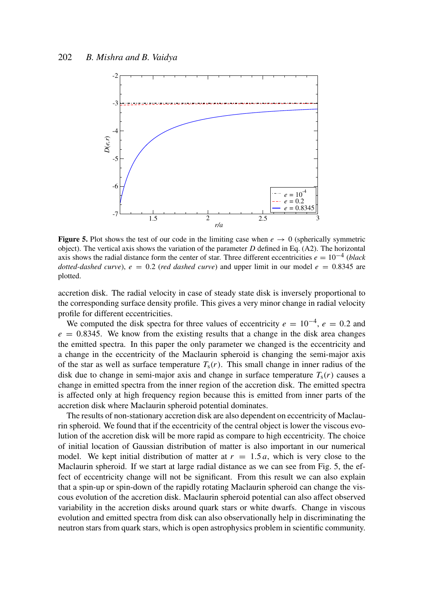

**Figure 5.** Plot shows the test of our code in the limiting case when  $e \rightarrow 0$  (spherically symmetric object). The vertical axis shows the variation of the parameter *D* defined in Eq. (A2). The horizontal axis shows the radial distance form the center of star. Three different eccentricities  $e = 10^{-4}$  (*black dotted-dashed curve*),  $e = 0.2$  (*red dashed curve*) and upper limit in our model  $e = 0.8345$  are plotted.

accretion disk. The radial velocity in case of steady state disk is inversely proportional to the corresponding surface density profile. This gives a very minor change in radial velocity profile for different eccentricities.

We computed the disk spectra for three values of eccentricity  $e = 10^{-4}$ ,  $e = 0.2$  and  $e = 0.8345$ . We know from the existing results that a change in the disk area changes the emitted spectra. In this paper the only parameter we changed is the eccentricity and a change in the eccentricity of the Maclaurin spheroid is changing the semi-major axis of the star as well as surface temperature  $T_s(r)$ . This small change in inner radius of the disk due to change in semi-major axis and change in surface temperature  $T_s(r)$  causes a change in emitted spectra from the inner region of the accretion disk. The emitted spectra is affected only at high frequency region because this is emitted from inner parts of the accretion disk where Maclaurin spheroid potential dominates.

The results of non-stationary accretion disk are also dependent on eccentricity of Maclaurin spheroid. We found that if the eccentricity of the central object is lower the viscous evolution of the accretion disk will be more rapid as compare to high eccentricity. The choice of initial location of Gaussian distribution of matter is also important in our numerical model. We kept initial distribution of matter at  $r = 1.5a$ , which is very close to the Maclaurin spheroid. If we start at large radial distance as we can see from Fig. 5, the effect of eccentricity change will not be significant. From this result we can also explain that a spin-up or spin-down of the rapidly rotating Maclaurin spheroid can change the viscous evolution of the accretion disk. Maclaurin spheroid potential can also affect observed variability in the accretion disks around quark stars or white dwarfs. Change in viscous evolution and emitted spectra from disk can also observationally help in discriminating the neutron stars from quark stars, which is open astrophysics problem in scientific community.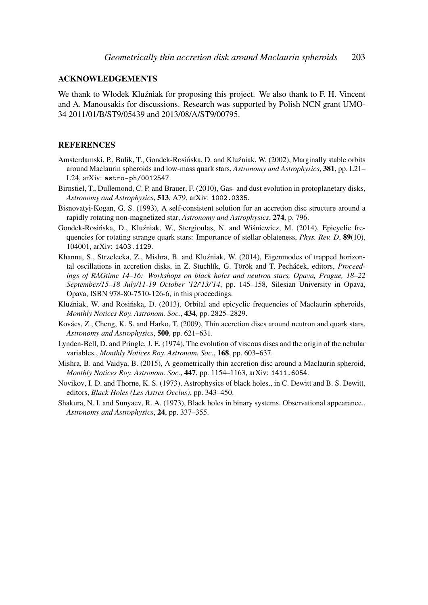#### ACKNOWLEDGEMENTS

We thank to Włodek Kluźniak for proposing this project. We also thank to F. H. Vincent and A. Manousakis for discussions. Research was supported by Polish NCN grant UMO-34 2011/01/B/ST9/05439 and 2013/08/A/ST9/00795.

#### **REFERENCES**

- Amsterdamski, P., Bulik, T., Gondek-Rosińska, D. and Kluźniak, W. (2002), Marginally stable orbits around Maclaurin spheroids and low-mass quark stars, *Astronomy and Astrophysics*, 381, pp. L21– L24, arXiv: astro-ph/0012547.
- Birnstiel, T., Dullemond, C. P. and Brauer, F. (2010), Gas- and dust evolution in protoplanetary disks, *Astronomy and Astrophysics*, 513, A79, arXiv: 1002.0335.
- Bisnovatyi-Kogan, G. S. (1993), A self-consistent solution for an accretion disc structure around a rapidly rotating non-magnetized star, *Astronomy and Astrophysics*, 274, p. 796.
- Gondek-Rosińska, D., Kluźniak, W., Stergioulas, N. and Wiśniewicz, M. (2014), Epicyclic frequencies for rotating strange quark stars: Importance of stellar oblateness, *Phys. Rev. D*, 89(10), 104001, arXiv: 1403.1129.
- Khanna, S., Strzelecka, Z., Mishra, B. and Kluźniak, W. (2014), Eigenmodes of trapped horizontal oscillations in accretion disks, in Z. Stuchlík, G. Török and T. Pecháček, editors, *Proceedings of RAGtime 14–16: Workshops on black holes and neutron stars, Opava, Prague, 18–22 September/15–18 July/11-19 October '12/'13/'14*, pp. 145–158, Silesian University in Opava, Opava, ISBN 978-80-7510-126-6, in this proceedings.
- Kluźniak, W. and Rosińska, D. (2013), Orbital and epicyclic frequencies of Maclaurin spheroids, *Monthly Notices Roy. Astronom. Soc.*, 434, pp. 2825–2829.
- Kovács, Z., Cheng, K. S. and Harko, T. (2009), Thin accretion discs around neutron and quark stars, *Astronomy and Astrophysics*, 500, pp. 621–631.
- Lynden-Bell, D. and Pringle, J. E. (1974), The evolution of viscous discs and the origin of the nebular variables., *Monthly Notices Roy. Astronom. Soc.*, 168, pp. 603–637.
- Mishra, B. and Vaidya, B. (2015), A geometrically thin accretion disc around a Maclaurin spheroid, *Monthly Notices Roy. Astronom. Soc.*, 447, pp. 1154–1163, arXiv: 1411.6054.
- Novikov, I. D. and Thorne, K. S. (1973), Astrophysics of black holes., in C. Dewitt and B. S. Dewitt, editors, *Black Holes (Les Astres Occlus)*, pp. 343–450.
- Shakura, N. I. and Sunyaev, R. A. (1973), Black holes in binary systems. Observational appearance., *Astronomy and Astrophysics*, 24, pp. 337–355.